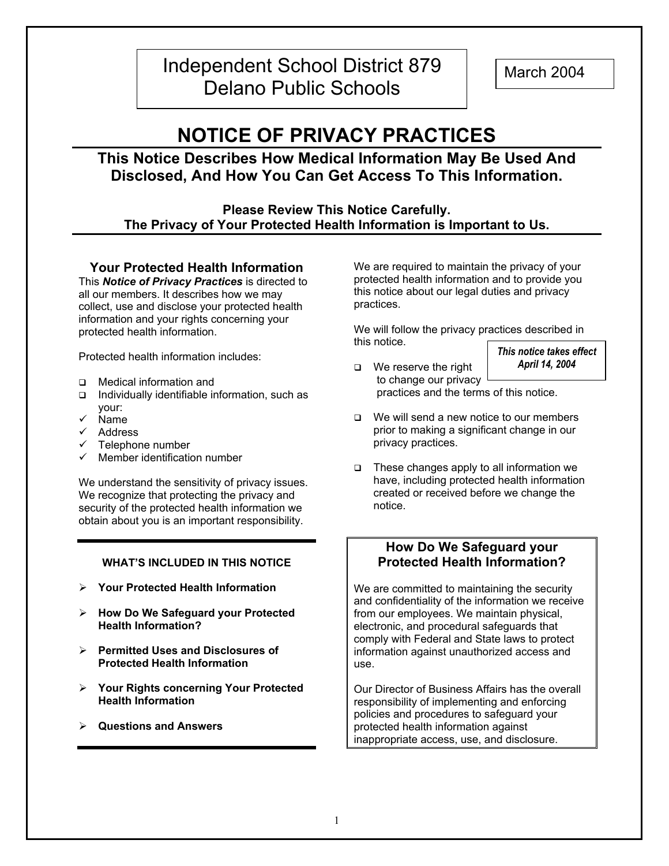## Independent School District 879 | March 2004 Delano Public Schools

# **NOTICE OF PRIVACY PRACTICES**

## **This Notice Describes How Medical Information May Be Used And Disclosed, And How You Can Get Access To This Information.**

#### **Please Review This Notice Carefully. The Privacy of Your Protected Health Information is Important to Us.**

#### **Your Protected Health Information**

This *Notice of Privacy Practices* is directed to all our members. It describes how we may collect, use and disclose your protected health information and your rights concerning your protected health information.

Protected health information includes:

- Medical information and
- $\Box$  Individually identifiable information, such as your:
- $\checkmark$  Name
- $\checkmark$  Address
- $\checkmark$  Telephone number
- $\checkmark$  Member identification number

We understand the sensitivity of privacy issues. We recognize that protecting the privacy and security of the protected health information we obtain about you is an important responsibility.

#### **WHAT'S INCLUDED IN THIS NOTICE**

- ¾ **Your Protected Health Information**
- ¾ **How Do We Safeguard your Protected Health Information?**
- ¾ **Permitted Uses and Disclosures of Protected Health Information**
- ¾ **Your Rights concerning Your Protected Health Information**
- ¾ **Questions and Answers**

We are required to maintain the privacy of your protected health information and to provide you this notice about our legal duties and privacy practices.

We will follow the privacy practices described in this notice.

*This notice takes effect April 14, 2004* 

- □ We reserve the right to change our privacy practices and the terms of this notice.
- $\Box$  We will send a new notice to our members prior to making a significant change in our privacy practices.
- $\Box$  These changes apply to all information we have, including protected health information created or received before we change the notice.

#### **How Do We Safeguard your Protected Health Information?**

We are committed to maintaining the security and confidentiality of the information we receive from our employees. We maintain physical, electronic, and procedural safeguards that comply with Federal and State laws to protect information against unauthorized access and use.

Our Director of Business Affairs has the overall responsibility of implementing and enforcing policies and procedures to safeguard your protected health information against inappropriate access, use, and disclosure.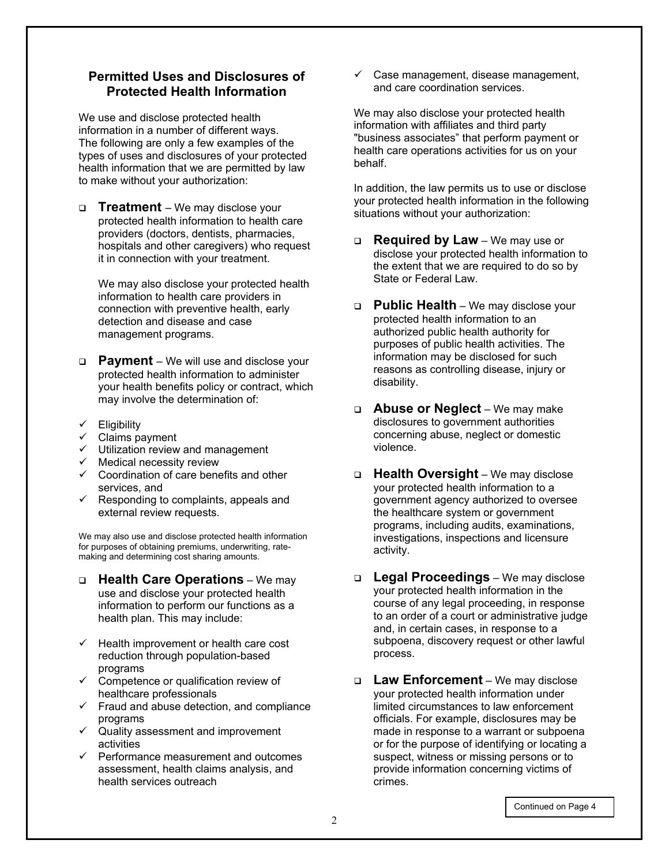#### **Permitted Uses and Disclosures of Protected Health Information**

We use and disclose protected health information in a number of different ways. The following are only a few examples of the types of uses and disclosures of your protected health information that we are permitted by law to make without your authorization:

 **Treatment** – We may disclose your protected health information to health care providers (doctors, dentists, pharmacies, hospitals and other caregivers) who request it in connection with your treatment.

We may also disclose your protected health information to health care providers in connection with preventive health, early detection and disease and case management programs.

- **Payment**  We will use and disclose your protected health information to administer your health benefits policy or contract, which may involve the determination of:
- $\checkmark$  Eligibility
- $\checkmark$  Claims payment
- $\checkmark$  Utilization review and management
- $\checkmark$  Medical necessity review
- $\checkmark$  Coordination of care benefits and other services, and
- $\checkmark$  Responding to complaints, appeals and external review requests.

We may also use and disclose protected health information for purposes of obtaining premiums, underwriting, ratemaking and determining cost sharing amounts.

- **Health Care Operations** We may use and disclose your protected health information to perform our functions as a health plan. This may include:
- $\checkmark$  Health improvement or health care cost reduction through population-based programs
- $\checkmark$  Competence or qualification review of healthcare professionals
- $\checkmark$  Fraud and abuse detection, and compliance programs
- $\checkmark$  Quality assessment and improvement activities
- $\checkmark$  Performance measurement and outcomes assessment, health claims analysis, and health services outreach

 $\checkmark$  Case management, disease management, and care coordination services.

We may also disclose your protected health information with affiliates and third party "business associates" that perform payment or health care operations activities for us on your behalf.

In addition, the law permits us to use or disclose your protected health information in the following situations without your authorization:

- **Required by Law** We may use or disclose your protected health information to the extent that we are required to do so by State or Federal Law.
- **Public Health** We may disclose your protected health information to an authorized public health authority for purposes of public health activities. The information may be disclosed for such reasons as controlling disease, injury or disability.
- **Abuse or Neglect** We may make disclosures to government authorities concerning abuse, neglect or domestic violence.
- **Health Oversight** We may disclose your protected health information to a government agency authorized to oversee the healthcare system or government programs, including audits, examinations, investigations, inspections and licensure activity.
- **Legal Proceedings** We may disclose your protected health information in the course of any legal proceeding, in response to an order of a court or administrative judge and, in certain cases, in response to a subpoena, discovery request or other lawful process.
- **Law Enforcement** We may disclose your protected health information under limited circumstances to law enforcement officials. For example, disclosures may be made in response to a warrant or subpoena or for the purpose of identifying or locating a suspect, witness or missing persons or to provide information concerning victims of crimes.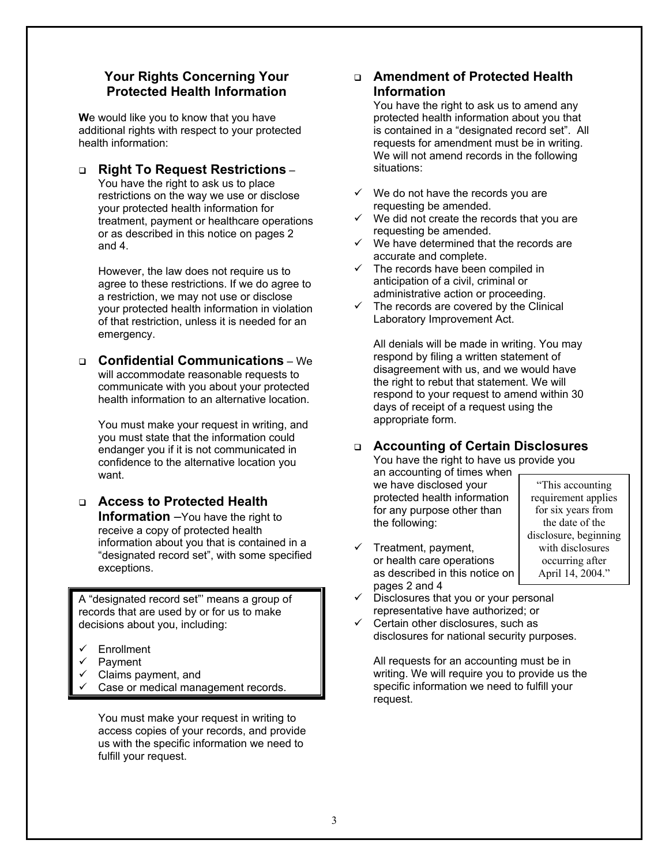#### **Your Rights Concerning Your Protected Health Information**

**W**e would like you to know that you have additional rights with respect to your protected health information:

 **Right To Request Restrictions** – You have the right to ask us to place

restrictions on the way we use or disclose your protected health information for treatment, payment or healthcare operations or as described in this notice on pages 2 and 4.

However, the law does not require us to agree to these restrictions. If we do agree to a restriction, we may not use or disclose your protected health information in violation of that restriction, unless it is needed for an emergency.

#### **Confidential Communications** – We will accommodate reasonable requests to communicate with you about your protected health information to an alternative location.

You must make your request in writing, and you must state that the information could endanger you if it is not communicated in confidence to the alternative location you want.

 **Access to Protected Health Information** –You have the right to receive a copy of protected health information about you that is contained in a "designated record set", with some specified exceptions.

A "designated record set"' means a group of records that are used by or for us to make decisions about you, including:

- **Enrollment**
- Payment
- Claims payment, and
- Case or medical management records.

You must make your request in writing to access copies of your records, and provide us with the specific information we need to fulfill your request.

#### **Amendment of Protected Health Information**

You have the right to ask us to amend any protected health information about you that is contained in a "designated record set". All requests for amendment must be in writing. We will not amend records in the following situations:

- $\checkmark$  We do not have the records you are requesting be amended.
- We did not create the records that you are requesting be amended.
- We have determined that the records are accurate and complete.
- $\checkmark$  The records have been compiled in anticipation of a civil, criminal or administrative action or proceeding.
- The records are covered by the Clinical Laboratory Improvement Act.

All denials will be made in writing. You may respond by filing a written statement of disagreement with us, and we would have the right to rebut that statement. We will respond to your request to amend within 30 days of receipt of a request using the appropriate form.

### **Accounting of Certain Disclosures**

You have the right to have us provide you an accounting of times when we have disclosed your

protected health information for any purpose other than the following:

- $\checkmark$  Treatment, payment, or health care operations as described in this notice on pages 2 and 4
- "This accounting requirement applies for six years from the date of the disclosure, beginning with disclosures occurring after April 14, 2004."
- Disclosures that you or your personal representative have authorized; or
- Certain other disclosures, such as disclosures for national security purposes.

All requests for an accounting must be in writing. We will require you to provide us the specific information we need to fulfill your request.